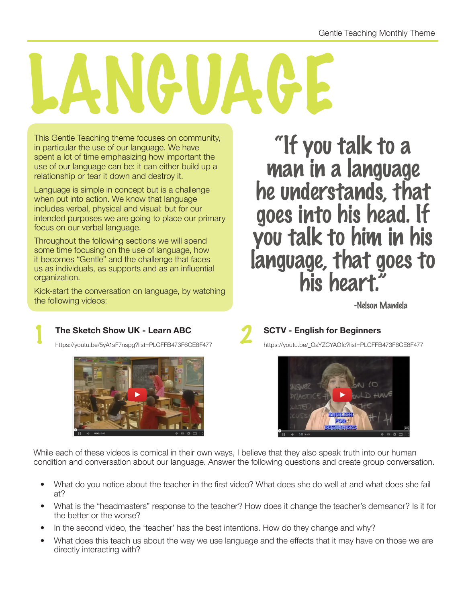## ANGUAG

This Gentle Teaching theme focuses on community, in particular the use of our language. We have spent a lot of time emphasizing how important the use of our language can be: it can either build up a relationship or tear it down and destroy it.

Language is simple in concept but is a challenge when put into action. We know that language includes verbal, physical and visual: but for our intended purposes we are going to place our primary focus on our verbal language.

Throughout the following sections we will spend some time focusing on the use of language, how it becomes "Gentle" and the challenge that faces us as individuals, as supports and as an influential organization.

Kick-start the conversation on language, by watching the following videos:

"If you talk to a man in a language he understands, that goes into his head. If you talk to him in his language, that goes to<br>his heart."

## 1 **The Sketch Show UK - Learn ABC**  The Sketch Show UK - Learn ABC<br>https://youtu.be/5yA1sF7nspg?list=PLCFFB473F6CE8F477 **2 bttps://youtu.be/\_OaYZCYAOfc?list=PLCFFB473F6CE8F477**



https://youtu.be/\_OaYZCYAOfc?list=PLCFFB473F6CE8F477



While each of these videos is comical in their own ways, I believe that they also speak truth into our human condition and conversation about our language. Answer the following questions and create group conversation.

- What do you notice about the teacher in the first video? What does she do well at and what does she fail at?
- What is the "headmasters" response to the teacher? How does it change the teacher's demeanor? Is it for the better or the worse?
- In the second video, the 'teacher' has the best intentions. How do they change and why?
- What does this teach us about the way we use language and the effects that it may have on those we are directly interacting with?